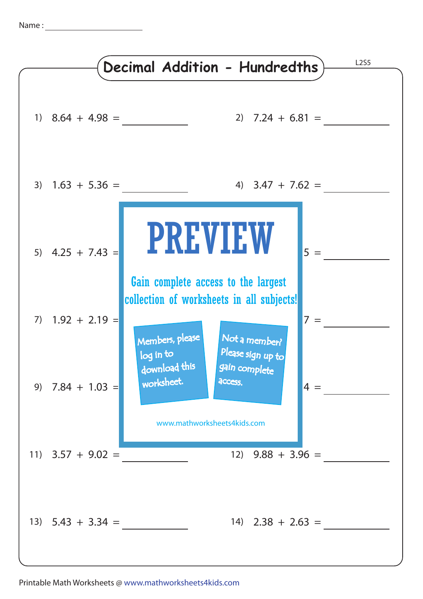